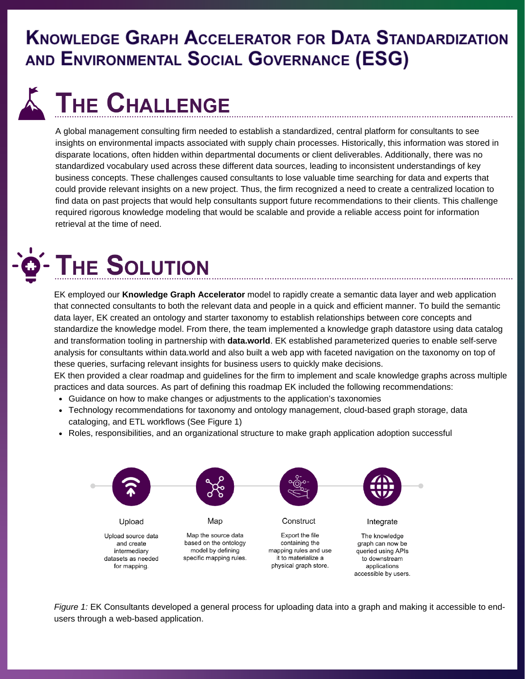#### **KNOWLEDGE GRAPH ACCELERATOR FOR DATA STANDARDIZATION** AND ENVIRONMENTAL SOCIAL GOVERNANCE (ESG)

# **THE CHALLENGE**

A global management consulting firm needed to establish a standardized, central platform for consultants to see insights on environmental impacts associated with supply chain processes. Historically, this information was stored in disparate locations, often hidden within departmental documents or client deliverables. Additionally, there was no standardized vocabulary used across these different data sources, leading to inconsistent understandings of key business concepts. These challenges caused consultants to lose valuable time searching for data and experts that could provide relevant insights on a new project. Thus, the firm recognized a need to create a centralized location to find data on past projects that would help consultants support future recommendations to their clients. This challenge required rigorous knowledge modeling that would be scalable and provide a reliable access point for information retrieval at the time of need.



EK employed our **Knowledge Graph [Accelerator](https://enterprise-knowledge.com/knowledge-graph-accelerator/)** [model](https://enterprise-knowledge.com/knowledge-graph-accelerator/) to rapidly create a semantic data layer and web application that connected consultants to both the relevant data and people in a quick and efficient manner. To build the semantic data layer, EK created an ontology and starter taxonomy to establish relationships between core concepts and standardize the knowledge model. From there, the team implemented a knowledge graph datastore using data catalog and transformation tooling in partnership with **[data.world](https://data.world/home/)**. EK established parameterized queries to enable self-serve analysis for consultants within data.world and also built a web app with faceted navigation on the taxonomy on top of these queries, surfacing relevant insights for business users to quickly make decisions.

EK then provided a clear roadmap and guidelines for the firm to implement and scale knowledge graphs across multiple practices and data sources. As part of defining this roadmap EK included the following recommendations:

- Guidance on how to make changes or adjustments to the application's taxonomies
- Technology recommendations for taxonomy and ontology management, cloud-based graph storage, data cataloging, and ETL workflows (See Figure 1)
- Roles, responsibilities, and an organizational structure to make graph application adoption successful



*Figure 1:* EK Consultants developed a general process for uploading data into a graph and making it accessible to endusers through a web-based application.